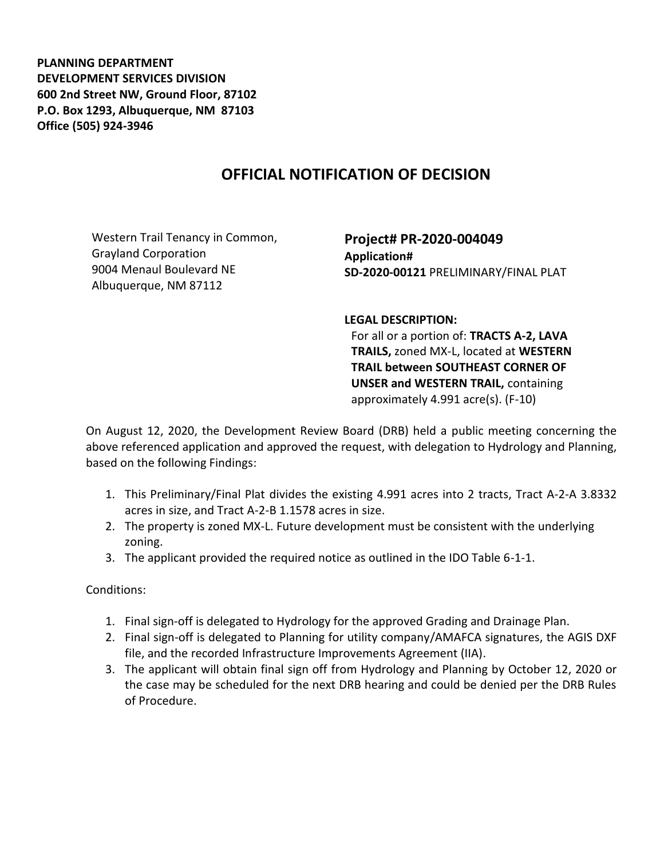**PLANNING DEPARTMENT DEVELOPMENT SERVICES DIVISION 600 2nd Street NW, Ground Floor, 87102 P.O. Box 1293, Albuquerque, NM 87103 Office (505) 924-3946** 

## **OFFICIAL NOTIFICATION OF DECISION**

Western Trail Tenancy in Common, Grayland Corporation 9004 Menaul Boulevard NE Albuquerque, NM 87112

**Project# PR-2020-004049 Application# SD-2020-00121** PRELIMINARY/FINAL PLAT

**LEGAL DESCRIPTION:**

For all or a portion of: **TRACTS A-2, LAVA TRAILS,** zoned MX-L, located at **WESTERN TRAIL between SOUTHEAST CORNER OF UNSER and WESTERN TRAIL,** containing approximately 4.991 acre(s). (F-10)

On August 12, 2020, the Development Review Board (DRB) held a public meeting concerning the above referenced application and approved the request, with delegation to Hydrology and Planning, based on the following Findings:

- 1. This Preliminary/Final Plat divides the existing 4.991 acres into 2 tracts, Tract A-2-A 3.8332 acres in size, and Tract A-2-B 1.1578 acres in size.
- 2. The property is zoned MX-L. Future development must be consistent with the underlying zoning.
- 3. The applicant provided the required notice as outlined in the IDO Table 6-1-1.

Conditions:

- 1. Final sign-off is delegated to Hydrology for the approved Grading and Drainage Plan.
- 2. Final sign-off is delegated to Planning for utility company/AMAFCA signatures, the AGIS DXF file, and the recorded Infrastructure Improvements Agreement (IIA).
- 3. The applicant will obtain final sign off from Hydrology and Planning by October 12, 2020 or the case may be scheduled for the next DRB hearing and could be denied per the DRB Rules of Procedure.